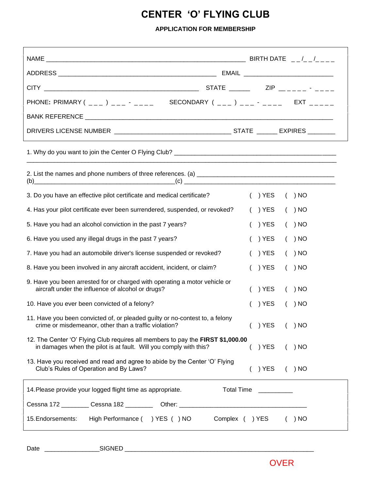## **CENTER 'O' FLYING CLUB**

## **APPLICATION FOR MEMBERSHIP**

| PHONE: PRIMARY ( ___ ) ___ - ___ SECONDARY ( ___ ) ___ - ____ EXT _____                                                                              |                                     |
|------------------------------------------------------------------------------------------------------------------------------------------------------|-------------------------------------|
|                                                                                                                                                      |                                     |
|                                                                                                                                                      |                                     |
|                                                                                                                                                      |                                     |
| (b) $\qquad \qquad \qquad \qquad \textbf{(c)}$                                                                                                       |                                     |
| 3. Do you have an effective pilot certificate and medical certificate?                                                                               | $( )$ YES<br>( ) NO                 |
| 4. Has your pilot certificate ever been surrendered, suspended, or revoked?                                                                          | $( )$ YES<br>( ) NO                 |
| 5. Have you had an alcohol conviction in the past 7 years?                                                                                           | ) YES<br>( ) NO                     |
| 6. Have you used any illegal drugs in the past 7 years?                                                                                              | ) YES<br>( ) NO                     |
| 7. Have you had an automobile driver's license suspended or revoked?                                                                                 | ) YES<br>( ) NO                     |
| 8. Have you been involved in any aircraft accident, incident, or claim?                                                                              | ) YES<br>( ) NO                     |
| 9. Have you been arrested for or charged with operating a motor vehicle or<br>aircraft under the influence of alcohol or drugs?                      | ) YES<br>$( )$ NO                   |
| 10. Have you ever been convicted of a felony?                                                                                                        | ) YES<br>( ) NO                     |
| 11. Have you been convicted of, or pleaded guilty or no-contest to, a felony<br>crime or misdemeanor, other than a traffic violation?                | ( ) YES ( ) NO                      |
| 12. The Center 'O' Flying Club requires all members to pay the FIRST \$1,000.00<br>in damages when the pilot is at fault. Will you comply with this? | $( )$ YES<br>( ) NO                 |
| 13. Have you received and read and agree to abide by the Center 'O' Flying<br>Club's Rules of Operation and By Laws?                                 | ) YES<br>( ) NO                     |
| 14. Please provide your logged flight time as appropriate.                                                                                           | Total Time<br><u>_________</u> ____ |
| 15. Endorsements: High Performance () YES () NO Complex () YES                                                                                       | $( )$ NO                            |

Date \_\_\_\_\_\_\_\_\_\_\_\_\_\_\_\_SIGNED \_\_\_\_\_\_\_\_\_\_\_\_\_\_\_\_\_\_\_\_\_\_\_\_\_\_\_\_\_\_\_\_\_\_\_\_\_\_\_\_\_\_\_\_\_\_\_\_\_\_\_\_\_\_\_